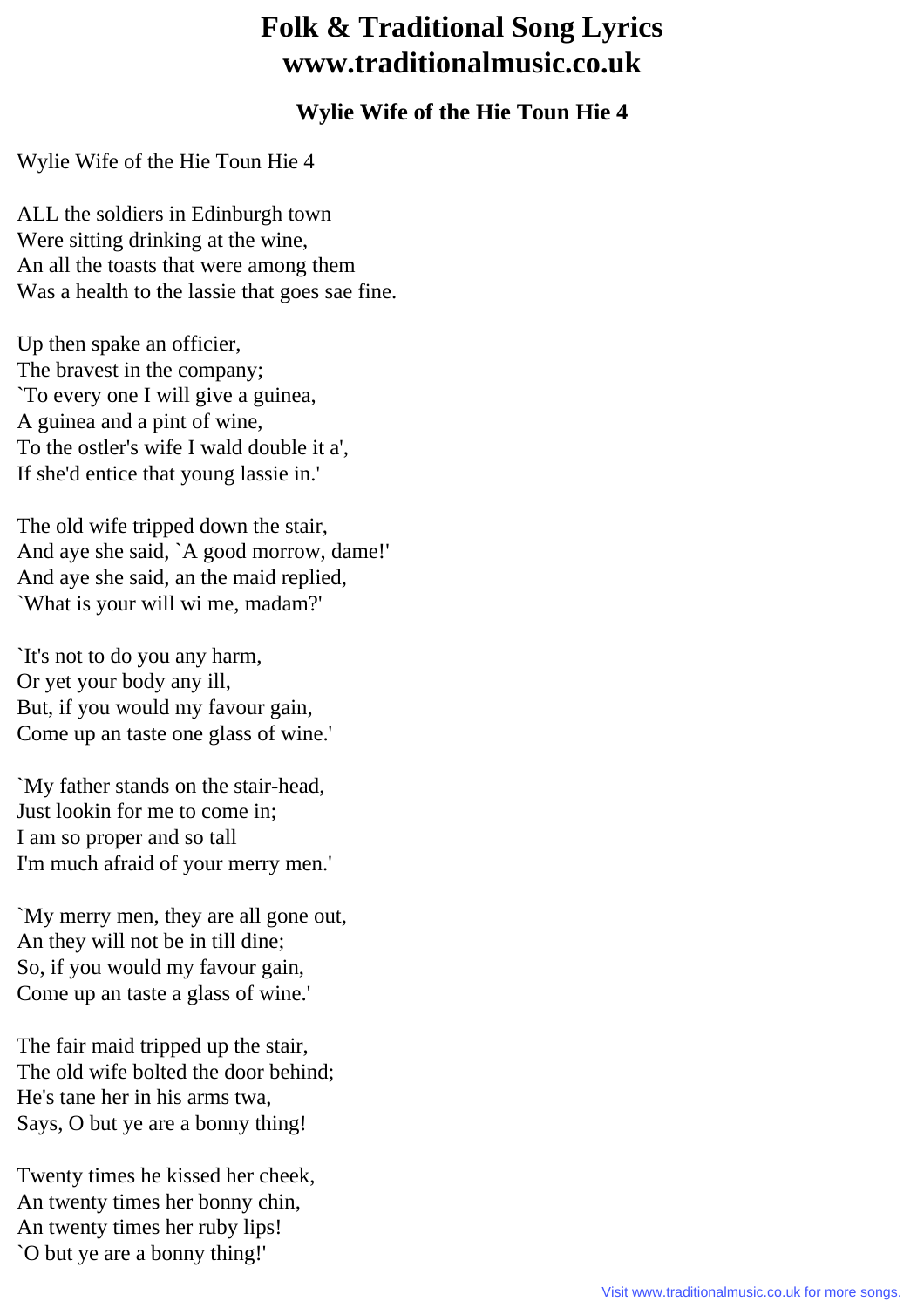## **Folk & Traditional Song Lyrics www.traditionalmusic.co.uk**

## **Wylie Wife of the Hie Toun Hie 4**

Wylie Wife of the Hie Toun Hie 4

ALL the soldiers in Edinburgh town Were sitting drinking at the wine, An all the toasts that were among them Was a health to the lassie that goes sae fine.

Up then spake an officier, The bravest in the company; `To every one I will give a guinea, A guinea and a pint of wine, To the ostler's wife I wald double it a', If she'd entice that young lassie in.'

The old wife tripped down the stair, And aye she said, `A good morrow, dame!' And aye she said, an the maid replied, `What is your will wi me, madam?'

`It's not to do you any harm, Or yet your body any ill, But, if you would my favour gain, Come up an taste one glass of wine.'

`My father stands on the stair-head, Just lookin for me to come in; I am so proper and so tall I'm much afraid of your merry men.'

`My merry men, they are all gone out, An they will not be in till dine; So, if you would my favour gain, Come up an taste a glass of wine.'

The fair maid tripped up the stair, The old wife bolted the door behind; He's tane her in his arms twa, Says, O but ye are a bonny thing!

Twenty times he kissed her cheek, An twenty times her bonny chin, An twenty times her ruby lips! `O but ye are a bonny thing!'